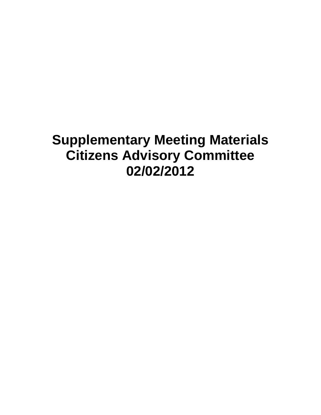# **Supplementary Meeting Materials Citizens Advisory Committee 02/02/2012**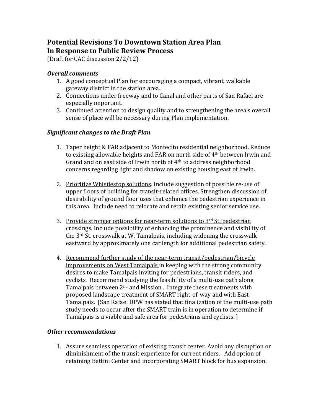# **Potential Revisions To Downtown Station Area Plan In Response to Public Review Process**

(Draft for CAC discussion 2/2/12)

## *Overall comments*

- 1. A good conceptual Plan for encouraging a compact, vibrant, walkable gateway district in the station area.
- 2. Connections under freeway and to Canal and other parts of San Rafael are especially important.
- 3. Continued attention to design quality and to strengthening the area's overall sense of place will be necessary during Plan implementation.

### *Significant changes to the Draft Plan*

- 1. Taper height & FAR adjacent to Montecito residential neighborhood. Reduce to existing allowable heights and FAR on north side of 4th between Irwin and Grand and on east side of Irwin north of 4th to address neighborhood concerns regarding light and shadow on existing housing east of Irwin.
- 2. Prioritize Whistlestop solutions. Include suggestion of possible re-use of upper floors of building for transit‐related offices. Strengthen discussion of desirability of ground floor uses that enhance the pedestrian experience in this area. Include need to relocate and retain existing senior service use.
- 3. Provide stronger options for near-term solutions to 3rd St. pedestrian crossings. Include possibility of enhancing the prominence and visibility of the 3rd St. crosswalk at W. Tamalpais, including widening the crosswalk eastward by approximately one car length for additional pedestrian safety.
- 4. Recommend further study of the near‐term transit/pedestrian/bicycle improvements on West Tamalpais in keeping with the strong community desires to make Tamalpais inviting for pedestrians, transit riders, and cyclists. Recommend studying the feasibility of a multi‐use path along Tamalpais between 2<sup>nd</sup> and Mission. Integrate these treatments with proposed landscape treatment of SMART right‐of‐way and with East Tamalpais. [San Rafael DPW has stated that finalization of the multi‐use path study needs to occur after the SMART train is in operation to determine if Tamalpais is a viable and safe area for pedestrians and cyclists. ]

### *Other recommendations*

1. Assure seamless operation of existing transit center. Avoid any disruption or diminishment of the transit experience for current riders. Add option of retaining Bettini Center and incorporating SMART block for bus expansion.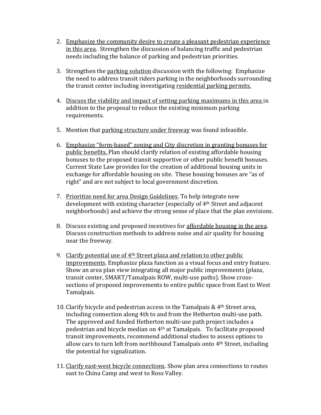- 2. Emphasize the community desire to create a pleasant pedestrian experience in this area. Strengthen the discussion of balancing traffic and pedestrian needs including the balance of parking and pedestrian priorities.
- 3. Strengthen the parking solution discussion with the following: Emphasize the need to address transit riders parking in the neighborhoods surrounding the transit center including investigating residential parking permits.
- 4. Discuss the viability and impact of setting parking maximums in this area in addition to the proposal to reduce the existing minimum parking requirements.
- 5. Mention that parking structure under freeway was found infeasible.
- 6. Emphasize "form‐based" zoning and City discretion in granting bonuses for public benefits. Plan should clarify relation of existing affordable housing bonuses to the proposed transit supportive or other public benefit bonuses. Current State Law provides for the creation of additional housing units in exchange for affordable housing on site. These housing bonuses are "as of right" and are not subject to local government discretion.
- 7. Prioritize need for area Design Guidelines. To help integrate new development with existing character (especially of 4th Street and adjacent neighborhoods) and achieve the strong sense of place that the plan envisions.
- 8. Discuss existing and proposed incentives for affordable housing in the area. Discuss construction methods to address noise and air quality for housing near the freeway.
- 9. Clarify potential use of 4th Street plaza and relation to other public improvements. Emphasize plaza function as a visual focus and entry feature. Show an area plan view integrating all major public improvements (plaza, transit center, SMART/Tamalpais ROW, multi‐use paths). Show cross‐ sections of proposed improvements to entire public space from East to West Tamalpais.
- 10. Clarify bicycle and pedestrian access in the Tamalpais  $& 4<sup>th</sup>$  Street area, including connection along 4th to and from the Hetherton multi‐use path. The approved and funded Hetherton multi-use path project includes a pedestrian and bicycle median on 4th at Tamalpais. To facilitate proposed transit improvements, recommend additional studies to assess options to allow cars to turn left from northbound Tamalpais onto 4th Street, including the potential for signalization.
- 11. Clarify east-west bicycle connections. Show plan area connections to routes east to China Camp and west to Ross Valley.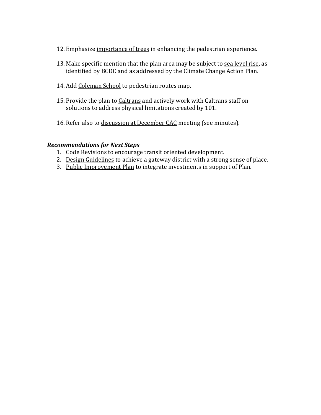- 12. Emphasize importance of trees in enhancing the pedestrian experience.
- 13. Make specific mention that the plan area may be subject to sea level rise, as identified by BCDC and as addressed by the Climate Change Action Plan.
- 14. Add Coleman School to pedestrian routes map.
- 15. Provide the plan to Caltrans and actively work with Caltrans staff on solutions to address physical limitations created by 101.
- 16. Refer also to discussion at December CAC meeting (see minutes).

### *Recommendations for Next Steps*

- 1. Code Revisions to encourage transit oriented development.
- 2. Design Guidelines to achieve a gateway district with a strong sense of place.
- 3. Public Improvement Plan to integrate investments in support of Plan.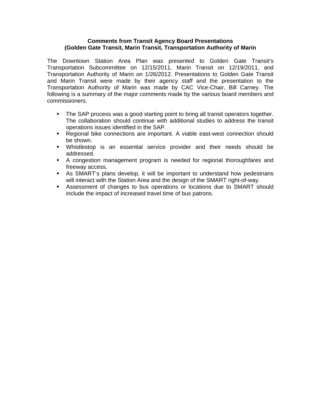### **Comments from Transit Agency Board Presentations (Golden Gate Transit, Marin Transit, Transportation Authority of Marin**

The Downtown Station Area Plan was presented to Golden Gate Transit's Transportation Subcommittee on 12/15/2011, Marin Transit on 12/19/2011, and Transportation Authority of Marin on 1/26/2012. Presentations to Golden Gate Transit and Marin Transit were made by their agency staff and the presentation to the Transportation Authority of Marin was made by CAC Vice-Chair, Bill Carney. The following is a summary of the major comments made by the various board members and commissioners.

- The SAP process was a good starting point to bring all transit operators together. The collaboration should continue with additional studies to address the transit operations issues identified in the SAP.
- Regional bike connections are important. A viable east-west connection should be shown.
- Whistlestop is an essential service provider and their needs should be addressed.
- A congestion management program is needed for regional thoroughfares and freeway access.
- As SMART's plans develop, it will be important to understand how pedestrians will interact with the Station Area and the design of the SMART right-of-way.
- Assessment of changes to bus operations or locations due to SMART should include the impact of increased travel time of bus patrons.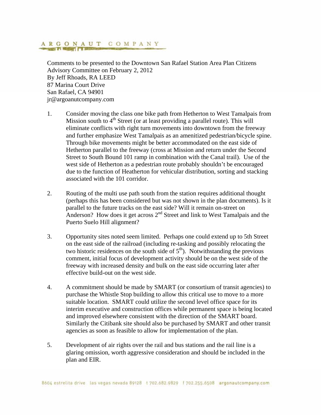# ARGONAUT COMPANY

Comments to be presented to the Downtown San Rafael Station Area Plan Citizens Advisory Committee on February 2, 2012 By Jeff Rhoads, RA LEED 87 Marina Court Drive San Rafael, CA 94901 jr@argoanutcompany.com

- 1. Consider moving the class one bike path from Hetherton to West Tamalpais from Mission south to  $4<sup>th</sup>$  Street (or at least providing a parallel route). This will eliminate conflicts with right turn movements into downtown from the freeway and further emphasize West Tamalpais as an amenitized pedestrian/bicycle spine. Through bike movements might be better accommodated on the east side of Hetherton parallel to the freeway (cross at Mission and return under the Second Street to South Bound 101 ramp in combination with the Canal trail). Use of the west side of Hetherton as a pedestrian route probably shouldn't be encouraged due to the function of Heatherton for vehicular distribution, sorting and stacking associated with the 101 corridor.
- 2. Routing of the multi use path south from the station requires additional thought (perhaps this has been considered but was not shown in the plan documents). Is it parallel to the future tracks on the east side? Will it remain on-street on Anderson? How does it get across  $2<sup>nd</sup>$  Street and link to West Tamalpais and the Puerto Suelo Hill alignment?
- 3. Opportunity sites noted seem limited. Perhaps one could extend up to 5th Street on the east side of the railroad (including re-tasking and possibly relocating the two historic residences on the south side of  $5<sup>th</sup>$ ). Notwithstanding the previous comment, initial focus of development activity should be on the west side of the freeway with increased density and bulk on the east side occurring later after effective build-out on the west side.
- 4. A commitment should be made by SMART (or consortium of transit agencies) to purchase the Whistle Stop building to allow this critical use to move to a more suitable location. SMART could utilize the second level office space for its interim executive and construction offices while permanent space is being located and improved elsewhere consistent with the direction of the SMART board. Similarly the Citibank site should also be purchased by SMART and other transit agencies as soon as feasible to allow for implementation of the plan.
- 5. Development of air rights over the rail and bus stations and the rail line is a glaring omission, worth aggressive consideration and should be included in the plan and EIR.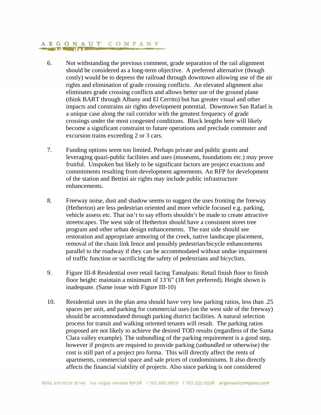# ARGONAUT COMPANY

- 6. Not withstanding the previous comment, grade separation of the rail alignment should be considered as a long-term objective. A preferred alternative (though costly) would be to depress the railroad through downtown allowing use of the air rights and elimination of grade crossing conflicts. An elevated alignment also eliminates grade crossing conflicts and allows better use of the ground plane (think BART through Albany and El Cerrito) but has greater visual and other impacts and constrains air rights development potential. Downtown San Rafael is a unique case along the rail corridor with the greatest frequency of grade crossings under the most congested conditions. Block lengths here will likely become a significant constraint to future operations and preclude commuter and excursion trains exceeding 2 or 3 cars.
- 7. Funding options seem too limited. Perhaps private and public grants and leveraging quazi-public facilities and uses (museums, foundations etc.) may prove fruitful. Unspoken but likely to be significant factors are project exactions and commitments resulting from development agreements. An RFP for development of the station and Bettini air rights may include public infrastructure enhancements.
- 8. Freeway noise, dust and shadow seems to suggest the uses fronting the freeway (Hetherton) are less pedestrian oriented and more vehicle focused e.g. parking, vehicle assess etc. That isn't to say efforts shouldn't be made to create attractive streetscapes. The west side of Hetherton should have a consistent street tree program and other urban design enhancements. The east side should see restoration and appropriate armoring of the creek, native landscape placement, removal of the chain link fence and possibly pedestrian/bicycle enhancements parallel to the roadway if they can be accommodated without undue impairment of traffic function or sacrificing the safety of pedestrians and bicyclists.
- 9. Figure III-8 Residential over retail facing Tamalpais: Retail finish floor to finish floor height: maintain a minimum of 13'6" (18 feet preferred). Height shown is inadequate. (Same issue with Figure III-10)
- 10. Residential uses in the plan area should have very low parking ratios, less than .25 spaces per unit, and parking for commercial uses (on the west side of the freeway) should be accommodated through parking district facilities. A natural selection process for transit and walking oriented tenants will result. The parking ratios proposed are not likely to achieve the desired TOD results (regardless of the Santa Clara valley example). The unbundling of the parking requirement is a good step, however if projects are required to provide parking (unbundled or otherwise) the cost is still part of a project pro forma. This will directly affect the rents of apartments, commercial space and sale prices of condominiums. It also directly affects the financial viability of projects. Also since parking is not considered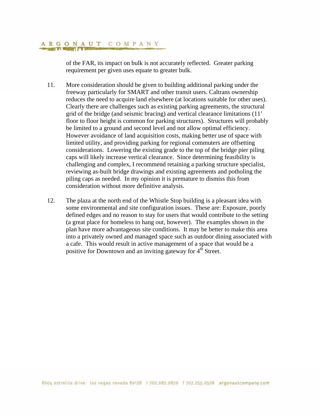#### ARGONAUT COMPANY **CONSIGNER**

of the FAR, its impact on bulk is not accurately reflected. Greater parking requirement per given uses equate to greater bulk.

- 11. More consideration should be given to building additional parking under the freeway particularly for SMART and other transit users. Caltrans ownership reduces the need to acquire land elsewhere (at locations suitable for other uses). Clearly there are challenges such as existing parking agreements, the structural grid of the bridge (and seismic bracing) and vertical clearance limitations (11' floor to floor height is common for parking structures). Structures will probably be limited to a ground and second level and not allow optimal efficiency. However avoidance of land acquisition costs, making better use of space with limited utility, and providing parking for regional commuters are offsetting considerations. Lowering the existing grade to the top of the bridge pier piling caps will likely increase vertical clearance. Since determining feasibility is challenging and complex, I recommend retaining a parking structure specialist, reviewing as-built bridge drawings and existing agreements and potholing the piling caps as needed. In my opinion it is premature to dismiss this from consideration without more definitive analysis.
- 12. The plaza at the north end of the Whistle Stop building is a pleasant idea with some environmental and site configuration issues. These are: Exposure, poorly defined edges and no reason to stay for users that would contribute to the setting (a great place for homeless to hang out, however). The examples shown in the plan have more advantageous site conditions. It may be better to make this area into a privately owned and managed space such as outdoor dining associated with a cafe. This would result in active management of a space that would be a positive for Downtown and an inviting gateway for  $4<sup>th</sup>$  Street.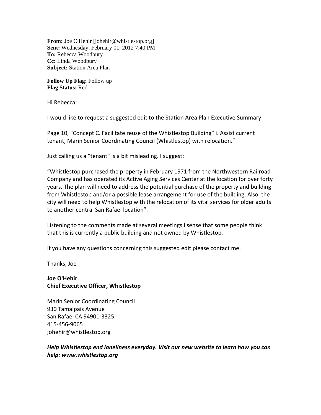**From:** Joe O'Hehir [johehir@whistlestop.org] **Sent:** Wednesday, February 01, 2012 7:40 PM **To:** Rebecca Woodbury **Cc:** Linda Woodbury **Subject:** Station Area Plan

**Follow Up Flag:** Follow up **Flag Status:** Red

Hi Rebecca:

I would like to request a suggested edit to the Station Area Plan Executive Summary:

Page 10, "Concept C. Facilitate reuse of the Whistlestop Building" i. Assist current tenant, Marin Senior Coordinating Council (Whistlestop) with relocation."

Just calling us a "tenant" is a bit misleading. I suggest:

"Whistlestop purchased the property in February 1971 from the Northwestern Railroad Company and has operated its Active Aging Services Center at the location for over forty years. The plan will need to address the potential purchase of the property and building from Whistlestop and/or a possible lease arrangement for use of the building. Also, the city will need to help Whistlestop with the relocation of its vital services for older adults to another central San Rafael location".

Listening to the comments made at several meetings I sense that some people think that this is currently a public building and not owned by Whistlestop.

If you have any questions concerning this suggested edit please contact me.

Thanks, Joe

### **Joe O'Hehir Chief Executive Officer, Whistlestop**

Marin Senior Coordinating Council 930 Tamalpais Avenue San Rafael CA 94901‐3325 415‐456‐9065 johehir@whistlestop.org

### *Help Whistlestop end loneliness everyday. Visit our new website to learn how you can help: www.whistlestop.org*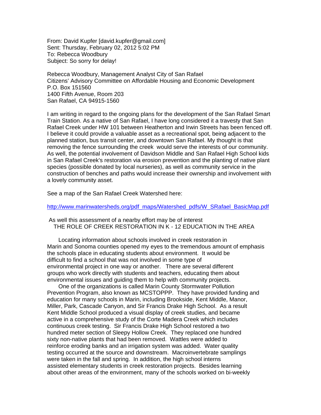From: David Kupfer [david.kupfer@gmail.com] Sent: Thursday, February 02, 2012 5:02 PM To: Rebecca Woodbury Subject: So sorry for delay!

Rebecca Woodbury, Management Analyst City of San Rafael Citizens' Advisory Committee on Affordable Housing and Economic Development P.O. Box 151560 1400 Fifth Avenue, Room 203 San Rafael, CA 94915-1560

I am writing in regard to the ongoing plans for the development of the San Rafael Smart Train Station. As a native of San Rafael, I have long considered it a travesty that San Rafael Creek under HW 101 between Heatherton and Irwin Streets has been fenced off. I believe it could provide a valuable asset as a recreational spot, being adjacent to the planned station, bus transit center, and downtown San Rafael. My thought is that removing the fence surrounding the creek would serve the interests of our community. As well, the potential involvement of Davidson Middle and San Rafael High School kids in San Rafael Creek's restoration via erosion prevention and the planting of native plant species (possible donated by local nurseries), as well as community service in the construction of benches and paths would increase their ownership and involvement with a lovely community asset.

See a map of the San Rafael Creek Watershed here:

http://www.marinwatersheds.org/pdf\_maps/Watershed\_pdfs/W\_SRafael\_BasicMap.pdf

 As well this assessment of a nearby effort may be of interest THE ROLE OF CREEK RESTORATION IN K - 12 EDUCATION IN THE AREA

 Locating information about schools involved in creek restoration in Marin and Sonoma counties opened my eyes to the tremendous amount of emphasis the schools place in educating students about environment. It would be difficult to find a school that was not involved in some type of environmental project in one way or another. There are several different groups who work directly with students and teachers, educating them about environmental issues and guiding them to help with community projects.

 One of the organizations is called Marin County Stormwater Pollution Prevention Program, also known as MCSTOPPP. They have provided funding and education for many schools in Marin, including Brookside, Kent Middle, Manor, Miller, Park, Cascade Canyon, and Sir Francis Drake High School. As a result Kent Middle School produced a visual display of creek studies, and became active in a comprehensive study of the Corte Madera Creek which includes continuous creek testing. Sir Francis Drake High School restored a two hundred meter section of Sleepy Hollow Creek. They replaced one hundred sixty non-native plants that had been removed. Wattles were added to reinforce eroding banks and an irrigation system was added. Water quality testing occurred at the source and downstream. Macroinvertebrate samplings were taken in the fall and spring. In addition, the high school interns assisted elementary students in creek restoration projects. Besides learning about other areas of the environment, many of the schools worked on bi-weekly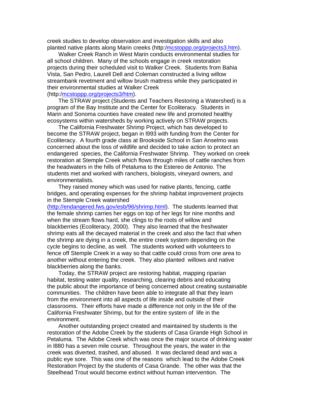creek studies to develop observation and investigation skills and also planted native plants along Marin creeks (http:/mcstoppp.org/projects3.htm).

 Walker Creek Ranch in West Marin conducts environmental studies for all school children. Many of the schools engage in creek restoration projects during their scheduled visit to Walker Creek. Students from Bahia Vista, San Pedro, Laurell Dell and Coleman constructed a living willow streambank revetment and willow brush mattress while they participated in their environmental studies at Walker Creek

### (http:/mcstoppp.org/projects3/htm).

 The STRAW project (Students and Teachers Restoring a Watershed) is a program of the Bay Institute and the Center for Ecoliteracy. Students in Marin and Sonoma counties have created new life and promoted healthy ecosystems within watersheds by working actively on STRAW projects.

 The California Freshwater Shrimp Project, which has developed to become the STRAW project, began in l993 with funding from the Center for Ecoliteracy. A fourth grade class at Brookside School in San Anselmo was concerned about the loss of wildlife and decided to take action to protect an endangered species, the California Freshwater Shrimp. They worked on creek restoration at Stemple Creek which flows through miles of cattle ranches from the headwaters in the hills of Petaluma to the Estereo de Antonio. The students met and worked with ranchers, biologists, vineyard owners, and environmentalists.

 They raised money which was used for native plants, fencing, cattle bridges, and operating expenses for the shrimp habitat improvement projects in the Stemple Creek watershed

(http://endangered.fws.gov/esb/96/shrimp.html). The students learned that the female shrimp carries her eggs on top of her legs for nine months and when the stream flows hard, she clings to the roots of willow and blackberries (Ecoliteracy, 2000). They also learned that the freshwater shrimp eats all the decayed material in the creek and also the fact that when the shrimp are dying in a creek, the entire creek system depending on the cycle begins to decline, as well. The students worked with volunteers to fence off Stemple Creek in a way so that cattle could cross from one area to another without entering the creek. They also planted willows and native blackberries along the banks.

 Today, the STRAW project are restoring habitat, mapping riparian habitat, testing water quality, researching, clearing debris and educating the public about the importance of being concerned about creating sustainable communities. The children have been able to integrate all that they learn from the environment into all aspects of life inside and outside of their classrooms. Their efforts have made a difference not only in the life of the California Freshwater Shrimp, but for the entire system of life in the environment.

 Another outstanding project created and maintained by students is the restoration of the Adobe Creek by the students of Casa Grande High School in Petaluma. The Adobe Creek which was once the major source of drinking water in l880 has a seven mile course. Throughout the years, the water in the creek was diverted, trashed, and abused. It was declared dead and was a public eye sore. This was one of the reasons which lead to the Adobe Creek Restoration Project by the students of Casa Grande. The other was that the Steelhead Trout would become extinct without human intervention. The